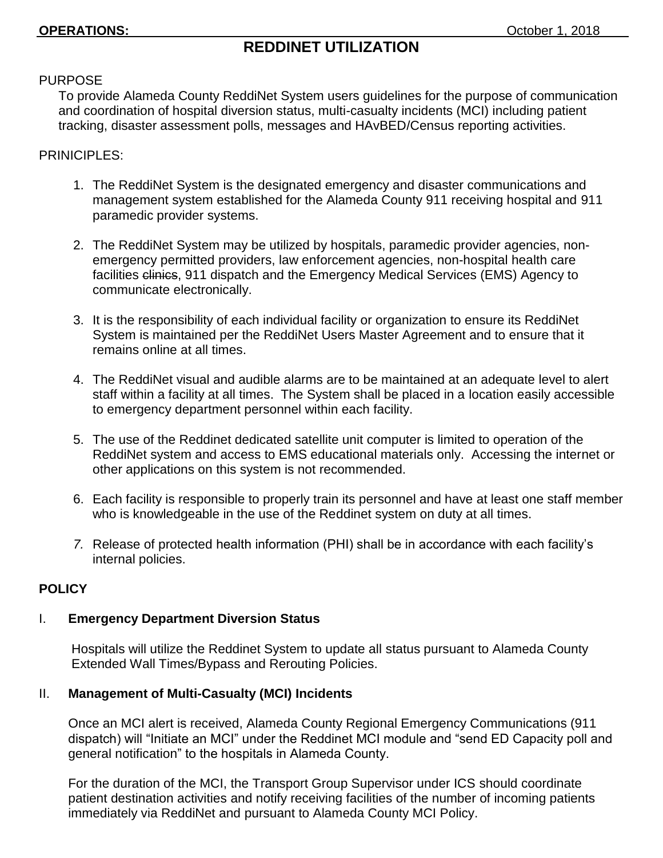# **REDDINET UTILIZATION**

### PURPOSE

To provide Alameda County ReddiNet System users guidelines for the purpose of communication and coordination of hospital diversion status, multi-casualty incidents (MCI) including patient tracking, disaster assessment polls, messages and HAvBED/Census reporting activities.

## PRINICIPLES:

- 1. The ReddiNet System is the designated emergency and disaster communications and management system established for the Alameda County 911 receiving hospital and 911 paramedic provider systems.
- 2. The ReddiNet System may be utilized by hospitals, paramedic provider agencies, nonemergency permitted providers, law enforcement agencies, non-hospital health care facilities clinics, 911 dispatch and the Emergency Medical Services (EMS) Agency to communicate electronically.
- 3. It is the responsibility of each individual facility or organization to ensure its ReddiNet System is maintained per the ReddiNet Users Master Agreement and to ensure that it remains online at all times.
- 4. The ReddiNet visual and audible alarms are to be maintained at an adequate level to alert staff within a facility at all times. The System shall be placed in a location easily accessible to emergency department personnel within each facility.
- 5. The use of the Reddinet dedicated satellite unit computer is limited to operation of the ReddiNet system and access to EMS educational materials only. Accessing the internet or other applications on this system is not recommended.
- 6. Each facility is responsible to properly train its personnel and have at least one staff member who is knowledgeable in the use of the Reddinet system on duty at all times.
- *7.* Release of protected health information (PHI) shall be in accordance with each facility's internal policies.

# **POLICY**

# I. **Emergency Department Diversion Status**

 Hospitals will utilize the Reddinet System to update all status pursuant to Alameda County Extended Wall Times/Bypass and Rerouting Policies.

# II. **Management of Multi-Casualty (MCI) Incidents**

Once an MCI alert is received, Alameda County Regional Emergency Communications (911 dispatch) will "Initiate an MCI" under the Reddinet MCI module and "send ED Capacity poll and general notification" to the hospitals in Alameda County.

For the duration of the MCI, the Transport Group Supervisor under ICS should coordinate patient destination activities and notify receiving facilities of the number of incoming patients immediately via ReddiNet and pursuant to Alameda County MCI Policy.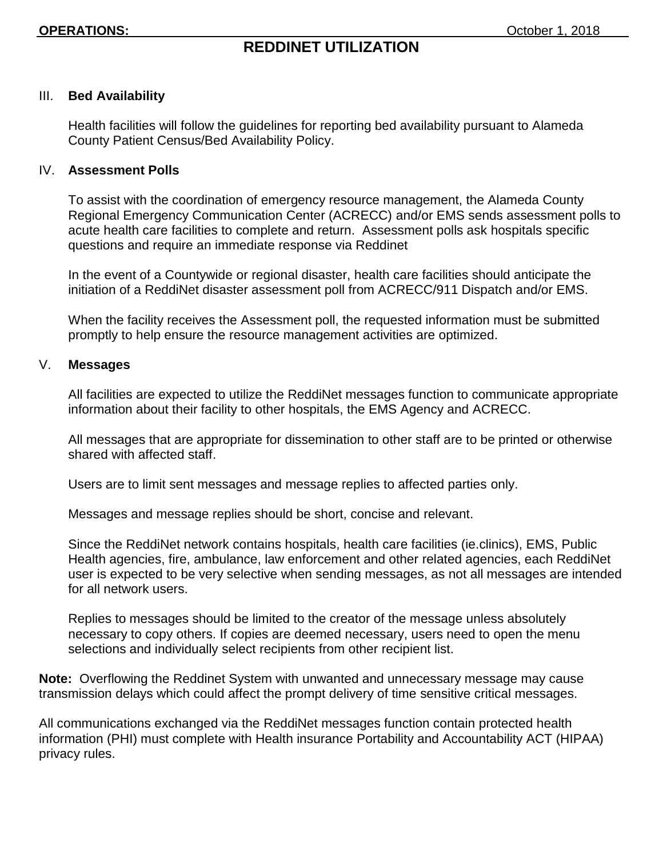# **REDDINET UTILIZATION**

#### III. **Bed Availability**

Health facilities will follow the guidelines for reporting bed availability pursuant to Alameda County Patient Census/Bed Availability Policy.

#### IV. **Assessment Polls**

To assist with the coordination of emergency resource management, the Alameda County Regional Emergency Communication Center (ACRECC) and/or EMS sends assessment polls to acute health care facilities to complete and return. Assessment polls ask hospitals specific questions and require an immediate response via Reddinet

In the event of a Countywide or regional disaster, health care facilities should anticipate the initiation of a ReddiNet disaster assessment poll from ACRECC/911 Dispatch and/or EMS.

When the facility receives the Assessment poll, the requested information must be submitted promptly to help ensure the resource management activities are optimized.

## V. **Messages**

All facilities are expected to utilize the ReddiNet messages function to communicate appropriate information about their facility to other hospitals, the EMS Agency and ACRECC.

All messages that are appropriate for dissemination to other staff are to be printed or otherwise shared with affected staff.

Users are to limit sent messages and message replies to affected parties only.

Messages and message replies should be short, concise and relevant.

Since the ReddiNet network contains hospitals, health care facilities (ie.clinics), EMS, Public Health agencies, fire, ambulance, law enforcement and other related agencies, each ReddiNet user is expected to be very selective when sending messages, as not all messages are intended for all network users.

Replies to messages should be limited to the creator of the message unless absolutely necessary to copy others. If copies are deemed necessary, users need to open the menu selections and individually select recipients from other recipient list.

**Note:** Overflowing the Reddinet System with unwanted and unnecessary message may cause transmission delays which could affect the prompt delivery of time sensitive critical messages.

All communications exchanged via the ReddiNet messages function contain protected health information (PHI) must complete with Health insurance Portability and Accountability ACT (HIPAA) privacy rules.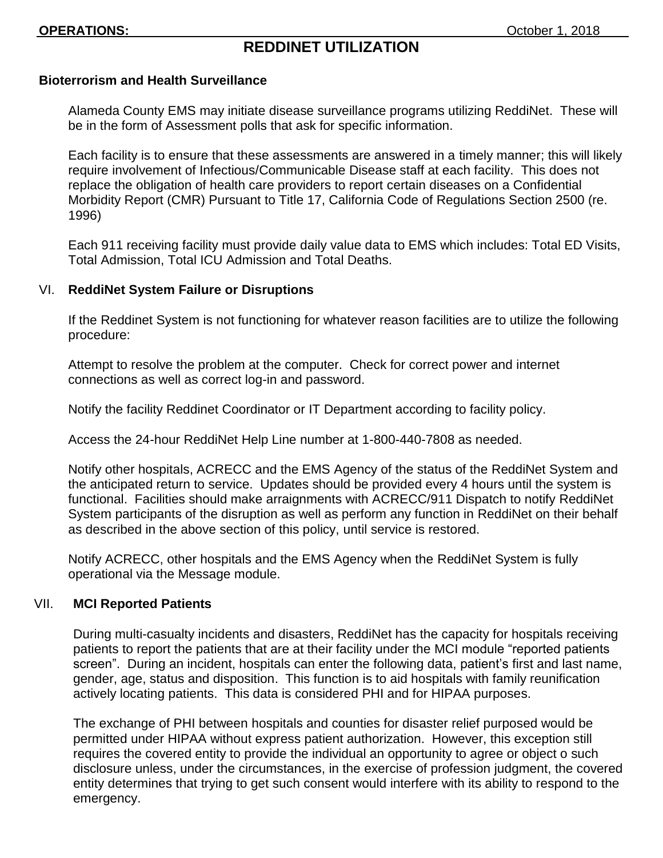## **Bioterrorism and Health Surveillance**

Alameda County EMS may initiate disease surveillance programs utilizing ReddiNet. These will be in the form of Assessment polls that ask for specific information.

Each facility is to ensure that these assessments are answered in a timely manner; this will likely require involvement of Infectious/Communicable Disease staff at each facility. This does not replace the obligation of health care providers to report certain diseases on a Confidential Morbidity Report (CMR) Pursuant to Title 17, California Code of Regulations Section 2500 (re. 1996)

Each 911 receiving facility must provide daily value data to EMS which includes: Total ED Visits, Total Admission, Total ICU Admission and Total Deaths.

#### VI. **ReddiNet System Failure or Disruptions**

If the Reddinet System is not functioning for whatever reason facilities are to utilize the following procedure:

Attempt to resolve the problem at the computer. Check for correct power and internet connections as well as correct log-in and password.

Notify the facility Reddinet Coordinator or IT Department according to facility policy.

Access the 24-hour ReddiNet Help Line number at 1-800-440-7808 as needed.

Notify other hospitals, ACRECC and the EMS Agency of the status of the ReddiNet System and the anticipated return to service. Updates should be provided every 4 hours until the system is functional. Facilities should make arraignments with ACRECC/911 Dispatch to notify ReddiNet System participants of the disruption as well as perform any function in ReddiNet on their behalf as described in the above section of this policy, until service is restored.

Notify ACRECC, other hospitals and the EMS Agency when the ReddiNet System is fully operational via the Message module.

#### VII. **MCI Reported Patients**

During multi-casualty incidents and disasters, ReddiNet has the capacity for hospitals receiving patients to report the patients that are at their facility under the MCI module "reported patients screen". During an incident, hospitals can enter the following data, patient's first and last name, gender, age, status and disposition. This function is to aid hospitals with family reunification actively locating patients. This data is considered PHI and for HIPAA purposes.

The exchange of PHI between hospitals and counties for disaster relief purposed would be permitted under HIPAA without express patient authorization. However, this exception still requires the covered entity to provide the individual an opportunity to agree or object o such disclosure unless, under the circumstances, in the exercise of profession judgment, the covered entity determines that trying to get such consent would interfere with its ability to respond to the emergency.